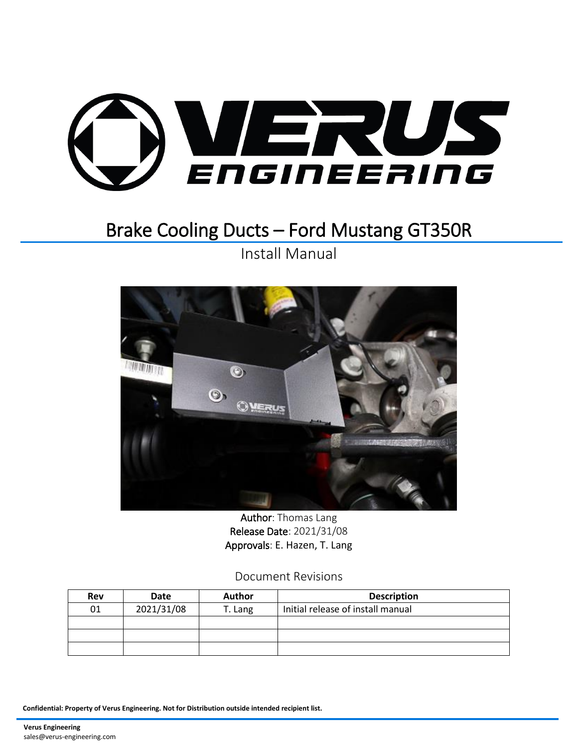

# Brake Cooling Ducts – Ford Mustang GT350R

Install Manual



Author: Thomas Lang Release Date: 2021/31/08 Approvals: E. Hazen, T. Lang

Document Revisions

| Rev | <b>Date</b> | Author  | <b>Description</b>                |
|-----|-------------|---------|-----------------------------------|
| 01  | 2021/31/08  | T. Lang | Initial release of install manual |
|     |             |         |                                   |
|     |             |         |                                   |
|     |             |         |                                   |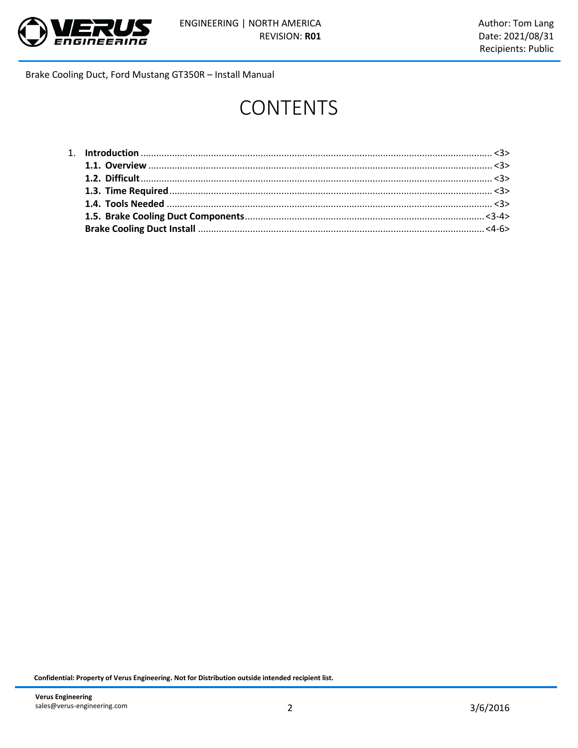

# **CONTENTS**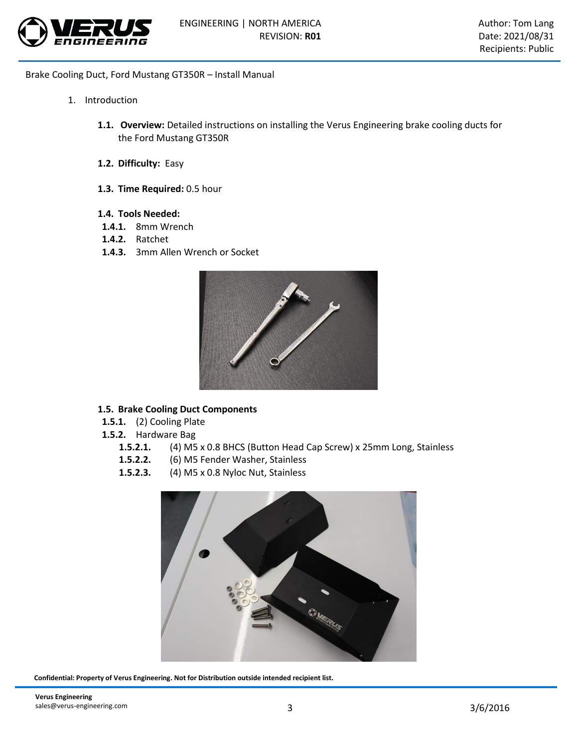

- 1. Introduction
	- **1.1. Overview:** Detailed instructions on installing the Verus Engineering brake cooling ducts for the Ford Mustang GT350R
	- **1.2. Difficulty:** Easy
	- **1.3. Time Required:** 0.5 hour
	- **1.4. Tools Needed:**
	- **1.4.1.** 8mm Wrench
	- **1.4.2.** Ratchet
	- **1.4.3.** 3mm Allen Wrench or Socket



## **1.5. Brake Cooling Duct Components**

- **1.5.1.** (2) Cooling Plate
- **1.5.2.** Hardware Bag
	- **1.5.2.1.** (4) M5 x 0.8 BHCS (Button Head Cap Screw) x 25mm Long, Stainless
	- **1.5.2.2.** (6) M5 Fender Washer, Stainless
	- **1.5.2.3.** (4) M5 x 0.8 Nyloc Nut, Stainless

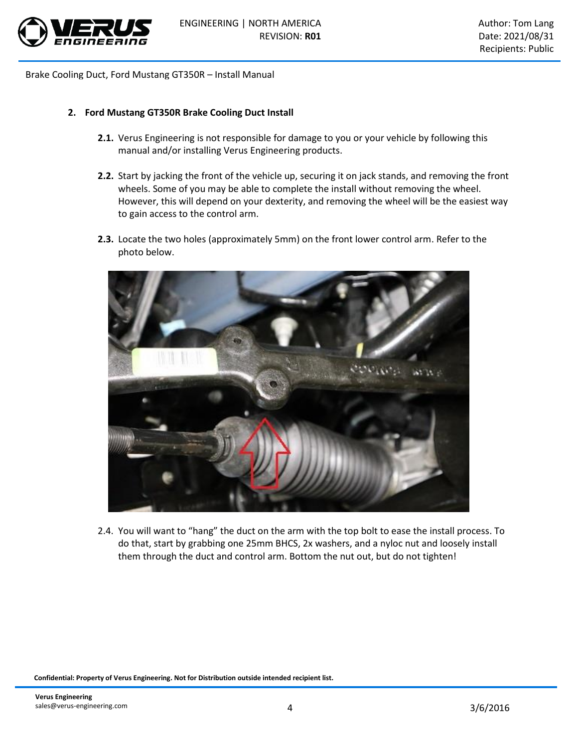

#### **2. Ford Mustang GT350R Brake Cooling Duct Install**

- **2.1.** Verus Engineering is not responsible for damage to you or your vehicle by following this manual and/or installing Verus Engineering products.
- **2.2.** Start by jacking the front of the vehicle up, securing it on jack stands, and removing the front wheels. Some of you may be able to complete the install without removing the wheel. However, this will depend on your dexterity, and removing the wheel will be the easiest way to gain access to the control arm.
- **2.3.** Locate the two holes (approximately 5mm) on the front lower control arm. Refer to the photo below.



2.4. You will want to "hang" the duct on the arm with the top bolt to ease the install process. To do that, start by grabbing one 25mm BHCS, 2x washers, and a nyloc nut and loosely install them through the duct and control arm. Bottom the nut out, but do not tighten!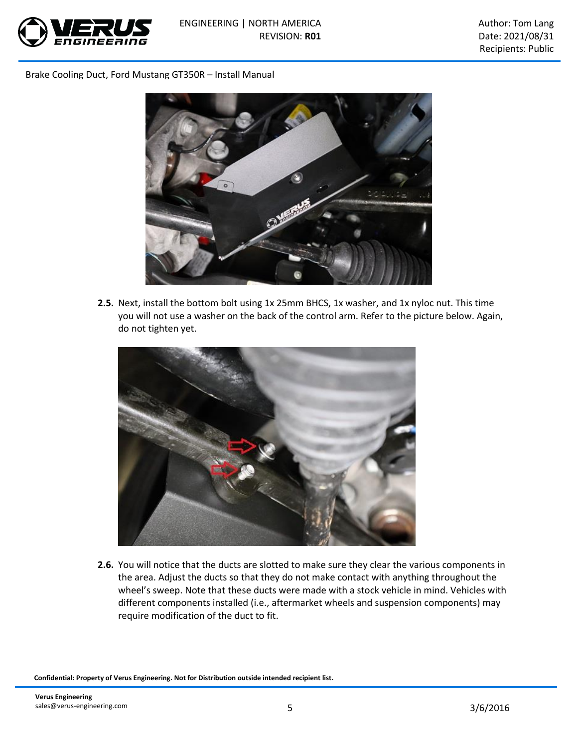



**2.5.** Next, install the bottom bolt using 1x 25mm BHCS, 1x washer, and 1x nyloc nut. This time you will not use a washer on the back of the control arm. Refer to the picture below. Again, do not tighten yet.



**2.6.** You will notice that the ducts are slotted to make sure they clear the various components in the area. Adjust the ducts so that they do not make contact with anything throughout the wheel's sweep. Note that these ducts were made with a stock vehicle in mind. Vehicles with different components installed (i.e., aftermarket wheels and suspension components) may require modification of the duct to fit.